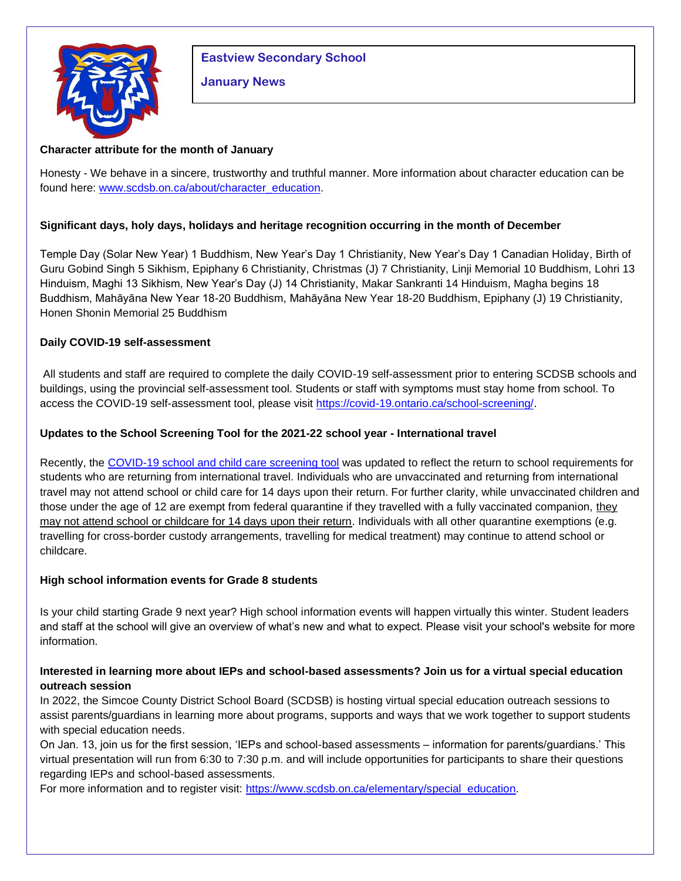

# **Eastview Secondary School**

## **January News**

## **Character attribute for the month of January**

Honesty - We behave in a sincere, trustworthy and truthful manner. More information about character education can be found here: [www.scdsb.on.ca/about/character\\_education.](http://www.scdsb.on.ca/about/character_education)

## **Significant days, holy days, holidays and heritage recognition occurring in the month of December**

Temple Day (Solar New Year) 1 Buddhism, New Year's Day 1 Christianity, New Year's Day 1 Canadian Holiday, Birth of Guru Gobind Singh 5 Sikhism, Epiphany 6 Christianity, Christmas (J) 7 Christianity, Linji Memorial 10 Buddhism, Lohri 13 Hinduism, Maghi 13 Sikhism, New Year's Day (J) 14 Christianity, Makar Sankranti 14 Hinduism, Magha begins 18 Buddhism, Mahāyāna New Year 18-20 Buddhism, Mahāyāna New Year 18-20 Buddhism, Epiphany (J) 19 Christianity, Honen Shonin Memorial 25 Buddhism

## **Daily COVID-19 self-assessment**

All students and staff are required to complete the daily COVID-19 self-assessment prior to entering SCDSB schools and buildings, using the provincial self-assessment tool. Students or staff with symptoms must stay home from school. To access the COVID-19 self-assessment tool, please visit [https://covid-19.ontario.ca/school-screening/.](https://covid-19.ontario.ca/school-screening/)

## **Updates to the School Screening Tool for the 2021-22 school year - International travel**

Recently, the [COVID-19 school and child care screening tool](https://can01.safelinks.protection.outlook.com/?url=https%3A%2F%2Fcovid-19.ontario.ca%2Fschool-screening%2F&data=04%7C01%7Cafarrell%40scdsb.on.ca%7Cf7af1515da514fb5da6808d99a358863%7C573d7e64d5434fd8b3da0c64adc4eb35%7C1%7C0%7C637710376967295545%7CUnknown%7CTWFpbGZsb3d8eyJWIjoiMC4wLjAwMDAiLCJQIjoiV2luMzIiLCJBTiI6Ik1haWwiLCJXVCI6Mn0%3D%7C1000&sdata=0%2Fcpi7wGQBdSYOhcYDF4Kq%2FUsjD4Cn4Ie%2BSKwOc826E%3D&reserved=0) was updated to reflect the return to school requirements for students who are returning from international travel. Individuals who are unvaccinated and returning from international travel may not attend school or child care for 14 days upon their return. For further clarity, while unvaccinated children and those under the age of 12 are exempt from federal quarantine if they travelled with a fully vaccinated companion, they may not attend school or childcare for 14 days upon their return. Individuals with all other quarantine exemptions (e.g. travelling for cross-border custody arrangements, travelling for medical treatment) may continue to attend school or childcare.

## **High school information events for Grade 8 students**

Is your child starting Grade 9 next year? High school information events will happen virtually this winter. Student leaders and staff at the school will give an overview of what's new and what to expect. Please visit your school's website for more information.

## **Interested in learning more about IEPs and school-based assessments? Join us for a virtual special education outreach session**

In 2022, the Simcoe County District School Board (SCDSB) is hosting virtual special education outreach sessions to assist parents/guardians in learning more about programs, supports and ways that we work together to support students with special education needs.

On Jan. 13, join us for the first session, 'IEPs and school-based assessments – information for parents/guardians.' This virtual presentation will run from 6:30 to 7:30 p.m. and will include opportunities for participants to share their questions regarding IEPs and school-based assessments.

For more information and to register visit: [https://www.scdsb.on.ca/elementary/special\\_education.](https://www.scdsb.on.ca/elementary/special_education)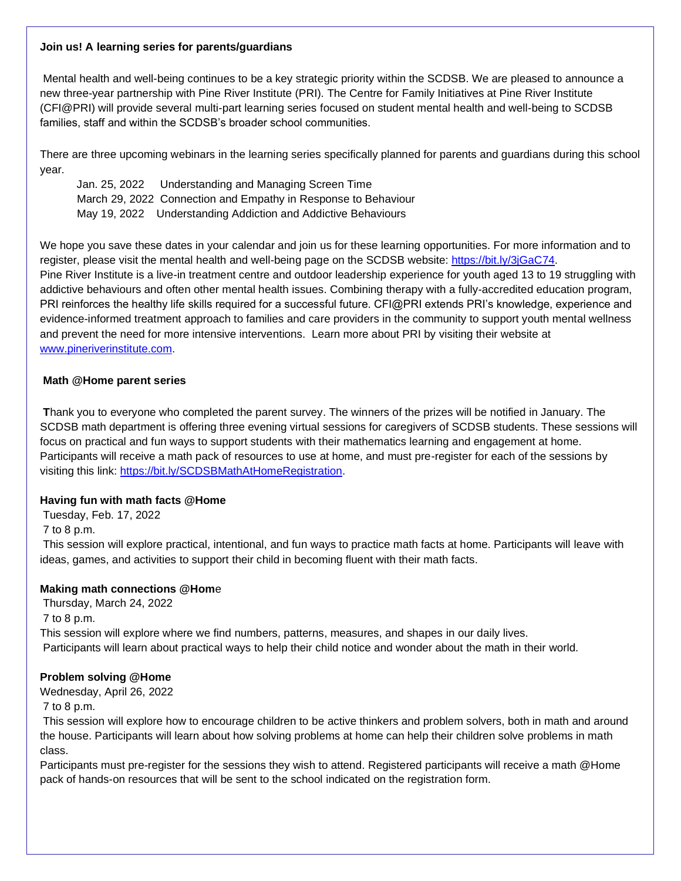#### **Join us! A learning series for parents/guardians**

Mental health and well-being continues to be a key strategic priority within the SCDSB. We are pleased to announce a new three-year partnership with Pine River Institute (PRI). The Centre for Family Initiatives at Pine River Institute (CFI@PRI) will provide several multi-part learning series focused on student mental health and well-being to SCDSB families, staff and within the SCDSB's broader school communities.

There are three upcoming webinars in the learning series specifically planned for parents and guardians during this school year.

 Jan. 25, 2022 Understanding and Managing Screen Time March 29, 2022 Connection and Empathy in Response to Behaviour May 19, 2022 Understanding Addiction and Addictive Behaviours

We hope you save these dates in your calendar and join us for these learning opportunities. For more information and to register, please visit the mental health and well-being page on the SCDSB website: [https://bit.ly/3jGaC74.](https://can01.safelinks.protection.outlook.com/?url=https%3A%2F%2Fbit.ly%2F3jGaC74&data=04%7C01%7Cafarrell%40scdsb.on.ca%7Cec4ecedd6fe14e8d9f3708d999468884%7C573d7e64d5434fd8b3da0c64adc4eb35%7C1%7C0%7C637709350472482142%7CUnknown%7CTWFpbGZsb3d8eyJWIjoiMC4wLjAwMDAiLCJQIjoiV2luMzIiLCJBTiI6Ik1haWwiLCJXVCI6Mn0%3D%7C1000&sdata=gRQeln4fMgkvZPyGjrguRKa5cqk6yDqM%2B67RPLY4MMU%3D&reserved=0) Pine River Institute is a live-in treatment centre and outdoor leadership experience for youth aged 13 to 19 struggling with addictive behaviours and often other mental health issues. Combining therapy with a fully-accredited education program, PRI reinforces the healthy life skills required for a successful future. CFI@PRI extends PRI's knowledge, experience and evidence-informed treatment approach to families and care providers in the community to support youth mental wellness and prevent the need for more intensive interventions. Learn more about PRI by visiting their website at [www.pineriverinstitute.com.](http://www.pineriverinstitute.com/)

## **Math @Home parent series**

**T**hank you to everyone who completed the parent survey. The winners of the prizes will be notified in January. The SCDSB math department is offering three evening virtual sessions for caregivers of SCDSB students. These sessions will focus on practical and fun ways to support students with their mathematics learning and engagement at home. Participants will receive a math pack of resources to use at home, and must pre-register for each of the sessions by visiting this link: [https://bit.ly/SCDSBMathAtHomeRegistration.](https://bit.ly/SCDSBMathAtHomeRegistration)

## **Having fun with math facts @Home**

Tuesday, Feb. 17, 2022 7 to 8 p.m. This session will explore practical, intentional, and fun ways to practice math facts at home. Participants will leave with ideas, games, and activities to support their child in becoming fluent with their math facts.

## **Making math connections @Hom**e

Thursday, March 24, 2022 7 to 8 p.m. This session will explore where we find numbers, patterns, measures, and shapes in our daily lives. Participants will learn about practical ways to help their child notice and wonder about the math in their world.

## **Problem solving @Home**

Wednesday, April 26, 2022

7 to 8 p.m.

This session will explore how to encourage children to be active thinkers and problem solvers, both in math and around the house. Participants will learn about how solving problems at home can help their children solve problems in math class.

Participants must pre-register for the sessions they wish to attend. Registered participants will receive a math @Home pack of hands-on resources that will be sent to the school indicated on the registration form.